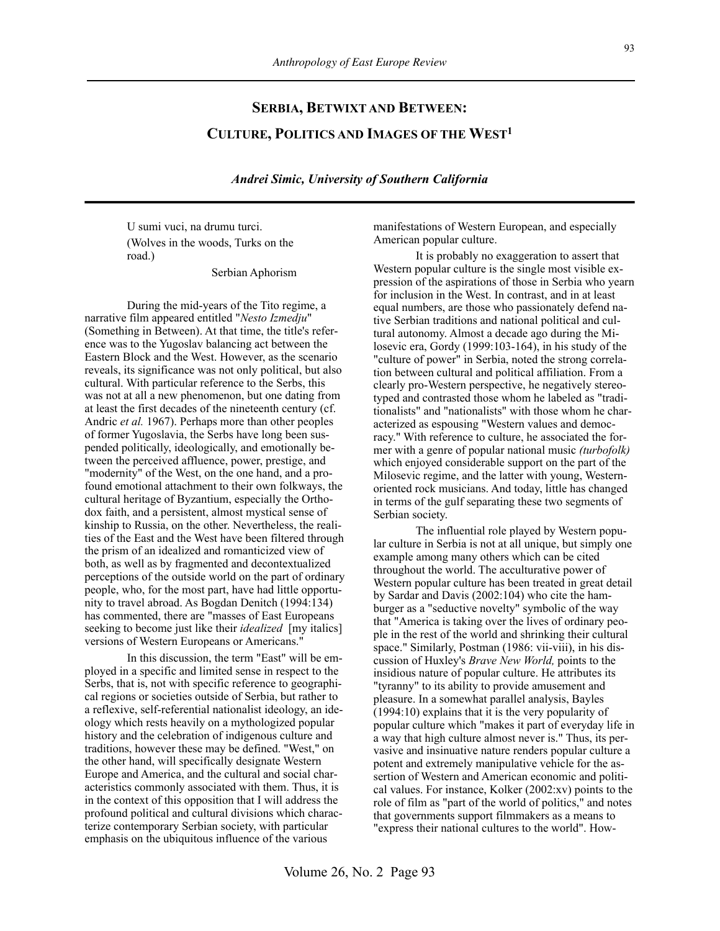# **SERBIA, BETWIXT AND BETWEEN: CULTURE, POLITICS AND IMAGES OF THE WEST1**

*Andrei Simic, University of Southern California*

U sumi vuci, na drumu turci. (Wolves in the woods, Turks on the road.)

Serbian Aphorism

During the mid-years of the Tito regime, a narrative film appeared entitled "*Nesto Izmedju*" (Something in Between). At that time, the title's reference was to the Yugoslav balancing act between the Eastern Block and the West. However, as the scenario reveals, its significance was not only political, but also cultural. With particular reference to the Serbs, this was not at all a new phenomenon, but one dating from at least the first decades of the nineteenth century (cf. Andric *et al.* 1967). Perhaps more than other peoples of former Yugoslavia, the Serbs have long been suspended politically, ideologically, and emotionally between the perceived affluence, power, prestige, and "modernity" of the West, on the one hand, and a profound emotional attachment to their own folkways, the cultural heritage of Byzantium, especially the Orthodox faith, and a persistent, almost mystical sense of kinship to Russia, on the other. Nevertheless, the realities of the East and the West have been filtered through the prism of an idealized and romanticized view of both, as well as by fragmented and decontextualized perceptions of the outside world on the part of ordinary people, who, for the most part, have had little opportunity to travel abroad. As Bogdan Denitch (1994:134) has commented, there are "masses of East Europeans seeking to become just like their *idealized* [my italics] versions of Western Europeans or Americans."

In this discussion, the term "East" will be employed in a specific and limited sense in respect to the Serbs, that is, not with specific reference to geographical regions or societies outside of Serbia, but rather to a reflexive, self-referential nationalist ideology, an ideology which rests heavily on a mythologized popular history and the celebration of indigenous culture and traditions, however these may be defined. "West," on the other hand, will specifically designate Western Europe and America, and the cultural and social characteristics commonly associated with them. Thus, it is in the context of this opposition that I will address the profound political and cultural divisions which characterize contemporary Serbian society, with particular emphasis on the ubiquitous influence of the various

manifestations of Western European, and especially American popular culture.

It is probably no exaggeration to assert that Western popular culture is the single most visible expression of the aspirations of those in Serbia who yearn for inclusion in the West. In contrast, and in at least equal numbers, are those who passionately defend native Serbian traditions and national political and cultural autonomy. Almost a decade ago during the Milosevic era, Gordy (1999:103-164), in his study of the "culture of power" in Serbia, noted the strong correlation between cultural and political affiliation. From a clearly pro-Western perspective, he negatively stereotyped and contrasted those whom he labeled as "traditionalists" and "nationalists" with those whom he characterized as espousing "Western values and democracy." With reference to culture, he associated the former with a genre of popular national music *(turbofolk)*  which enjoyed considerable support on the part of the Milosevic regime, and the latter with young, Westernoriented rock musicians. And today, little has changed in terms of the gulf separating these two segments of Serbian society.

The influential role played by Western popular culture in Serbia is not at all unique, but simply one example among many others which can be cited throughout the world. The acculturative power of Western popular culture has been treated in great detail by Sardar and Davis (2002:104) who cite the hamburger as a "seductive novelty" symbolic of the way that "America is taking over the lives of ordinary people in the rest of the world and shrinking their cultural space." Similarly, Postman (1986: vii-viii), in his discussion of Huxley's *Brave New World,* points to the insidious nature of popular culture. He attributes its "tyranny" to its ability to provide amusement and pleasure. In a somewhat parallel analysis, Bayles (1994:10) explains that it is the very popularity of popular culture which "makes it part of everyday life in a way that high culture almost never is." Thus, its pervasive and insinuative nature renders popular culture a potent and extremely manipulative vehicle for the assertion of Western and American economic and political values. For instance, Kolker (2002:xv) points to the role of film as "part of the world of politics," and notes that governments support filmmakers as a means to "express their national cultures to the world". How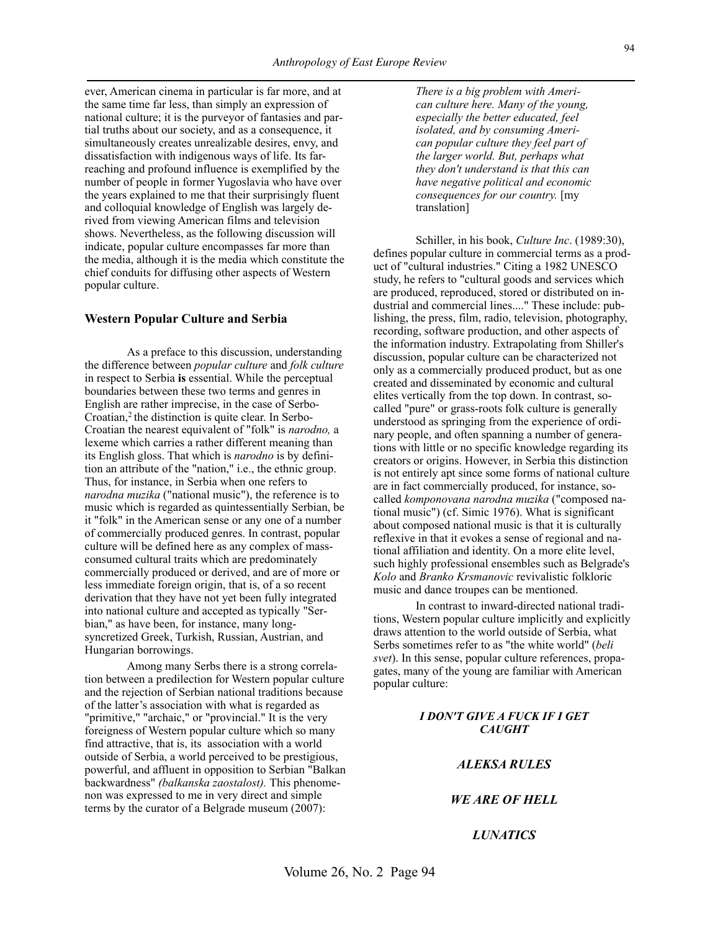ever, American cinema in particular is far more, and at the same time far less, than simply an expression of national culture; it is the purveyor of fantasies and partial truths about our society, and as a consequence, it simultaneously creates unrealizable desires, envy, and dissatisfaction with indigenous ways of life. Its farreaching and profound influence is exemplified by the number of people in former Yugoslavia who have over the years explained to me that their surprisingly fluent and colloquial knowledge of English was largely derived from viewing American films and television shows. Nevertheless, as the following discussion will indicate, popular culture encompasses far more than the media, although it is the media which constitute the chief conduits for diffusing other aspects of Western popular culture.

#### **Western Popular Culture and Serbia**

As a preface to this discussion, understanding the difference between *popular culture* and *folk culture* in respect to Serbia **is** essential. While the perceptual boundaries between these two terms and genres in English are rather imprecise, in the case of Serbo-Croatian,<sup>2</sup> the distinction is quite clear. In Serbo-Croatian the nearest equivalent of "folk" is *narodno,* a lexeme which carries a rather different meaning than its English gloss. That which is *narodno* is by definition an attribute of the "nation," i.e., the ethnic group. Thus, for instance, in Serbia when one refers to *narodna muzika* ("national music"), the reference is to music which is regarded as quintessentially Serbian, be it "folk" in the American sense or any one of a number of commercially produced genres. In contrast, popular culture will be defined here as any complex of massconsumed cultural traits which are predominately commercially produced or derived, and are of more or less immediate foreign origin, that is, of a so recent derivation that they have not yet been fully integrated into national culture and accepted as typically "Serbian," as have been, for instance, many longsyncretized Greek, Turkish, Russian, Austrian, and Hungarian borrowings.

Among many Serbs there is a strong correlation between a predilection for Western popular culture and the rejection of Serbian national traditions because of the latter's association with what is regarded as "primitive," "archaic," or "provincial." It is the very foreigness of Western popular culture which so many find attractive, that is, its association with a world outside of Serbia, a world perceived to be prestigious, powerful, and affluent in opposition to Serbian "Balkan backwardness" *(balkanska zaostalost).* This phenomenon was expressed to me in very direct and simple terms by the curator of a Belgrade museum (2007):

*There is a big problem with American culture here. Many of the young, especially the better educated, feel isolated, and by consuming American popular culture they feel part of the larger world. But, perhaps what they don't understand is that this can have negative political and economic consequences for our country.* [my translation]

Schiller, in his book, *Culture Inc*. (1989:30), defines popular culture in commercial terms as a product of "cultural industries." Citing a 1982 UNESCO study, he refers to "cultural goods and services which are produced, reproduced, stored or distributed on industrial and commercial lines...." These include: publishing, the press, film, radio, television, photography, recording, software production, and other aspects of the information industry. Extrapolating from Shiller's discussion, popular culture can be characterized not only as a commercially produced product, but as one created and disseminated by economic and cultural elites vertically from the top down. In contrast, socalled "pure" or grass-roots folk culture is generally understood as springing from the experience of ordinary people, and often spanning a number of generations with little or no specific knowledge regarding its creators or origins. However, in Serbia this distinction is not entirely apt since some forms of national culture are in fact commercially produced, for instance, socalled *komponovana narodna muzika* ("composed national music") (cf. Simic 1976). What is significant about composed national music is that it is culturally reflexive in that it evokes a sense of regional and national affiliation and identity. On a more elite level, such highly professional ensembles such as Belgrade's *Kolo* and *Branko Krsmanovic* revivalistic folkloric music and dance troupes can be mentioned.

In contrast to inward-directed national traditions, Western popular culture implicitly and explicitly draws attention to the world outside of Serbia, what Serbs sometimes refer to as "the white world" (*beli svet*). In this sense, popular culture references, propagates, many of the young are familiar with American popular culture:

## *I DON'T GIVE A FUCK IF I GET CAUGHT*

# *ALEKSA RULES*

#### *WE ARE OF HELL*

# *LUNATICS*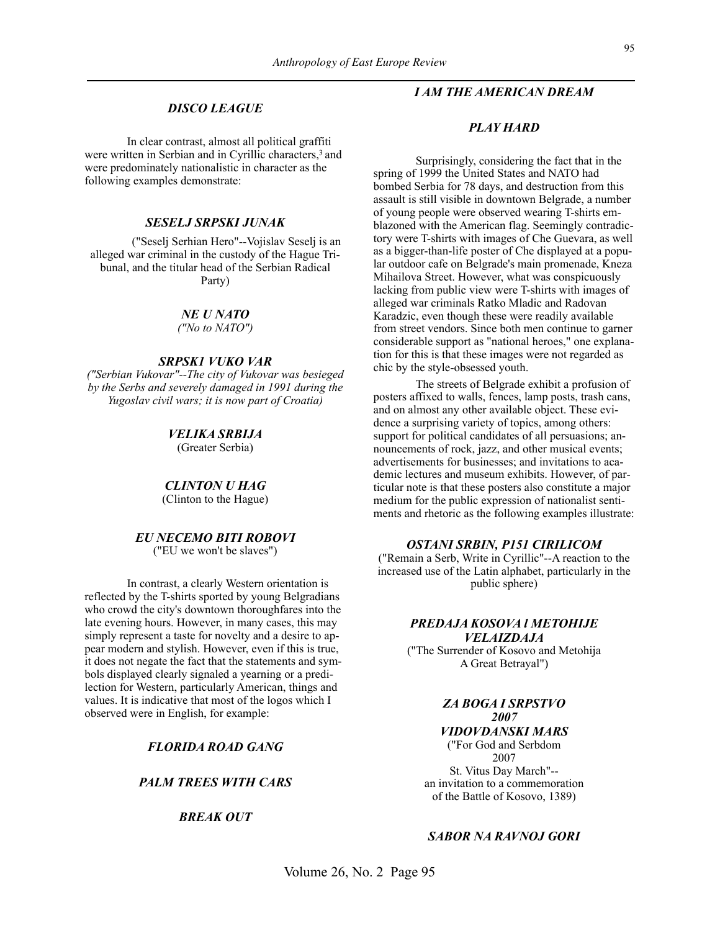# *DISCO LEAGUE*

In clear contrast, almost all political graffiti were written in Serbian and in Cyrillic characters,<sup>3</sup> and were predominately nationalistic in character as the following examples demonstrate:

## *SESELJ SRPSKI JUNAK*

("Seselj Serhian Hero"--Vojislav Seselj is an alleged war criminal in the custody of the Hague Tribunal, and the titular head of the Serbian Radical Party)

#### *NE U NATO*

*("No to NATO")*

# *SRPSK1 VUKO VAR*

*("Serbian Vukovar"--The city of Vukovar was besieged by the Serbs and severely damaged in 1991 during the Yugoslav civil wars; it is now part of Croatia)*

# *VELIKA SRBIJA*

(Greater Serbia)

#### *CLINTON U HAG*

(Clinton to the Hague)

#### *EU NECEMO BITI ROBOVI* ("EU we won't be slaves")

In contrast, a clearly Western orientation is reflected by the T-shirts sported by young Belgradians who crowd the city's downtown thoroughfares into the late evening hours. However, in many cases, this may simply represent a taste for novelty and a desire to appear modern and stylish. However, even if this is true, it does not negate the fact that the statements and symbols displayed clearly signaled a yearning or a predilection for Western, particularly American, things and values. It is indicative that most of the logos which I observed were in English, for example:

# *FLORIDA ROAD GANG*

## *PALM TREES WITH CARS*

# *BREAK OUT*

# *I AM THE AMERICAN DREAM*

#### *PLAY HARD*

Surprisingly, considering the fact that in the spring of 1999 the United States and NATO had bombed Serbia for 78 days, and destruction from this assault is still visible in downtown Belgrade, a number of young people were observed wearing T-shirts emblazoned with the American flag. Seemingly contradictory were T-shirts with images of Che Guevara, as well as a bigger-than-life poster of Che displayed at a popular outdoor cafe on Belgrade's main promenade, Kneza Mihailova Street. However, what was conspicuously lacking from public view were T-shirts with images of alleged war criminals Ratko Mladic and Radovan Karadzic, even though these were readily available from street vendors. Since both men continue to garner considerable support as "national heroes," one explanation for this is that these images were not regarded as chic by the style-obsessed youth.

The streets of Belgrade exhibit a profusion of posters affixed to walls, fences, lamp posts, trash cans, and on almost any other available object. These evidence a surprising variety of topics, among others: support for political candidates of all persuasions; announcements of rock, jazz, and other musical events; advertisements for businesses; and invitations to academic lectures and museum exhibits. However, of particular note is that these posters also constitute a major medium for the public expression of nationalist sentiments and rhetoric as the following examples illustrate:

#### *OSTANI SRBIN, P151 CIRILICOM*

("Remain a Serb, Write in Cyrillic"--A reaction to the increased use of the Latin alphabet, particularly in the public sphere)

# *PREDAJA KOSOVA l METOHIJE VELAIZDAJA*

("The Surrender of Kosovo and Metohija A Great Betrayal")

# *ZA BOGA I SRPSTVO 2007*

*VIDOVDANSKI MARS* ("For God and Serbdom 2007 St. Vitus Day March"- an invitation to a commemoration of the Battle of Kosovo, 1389)

# *SABOR NA RAVNOJ GORI*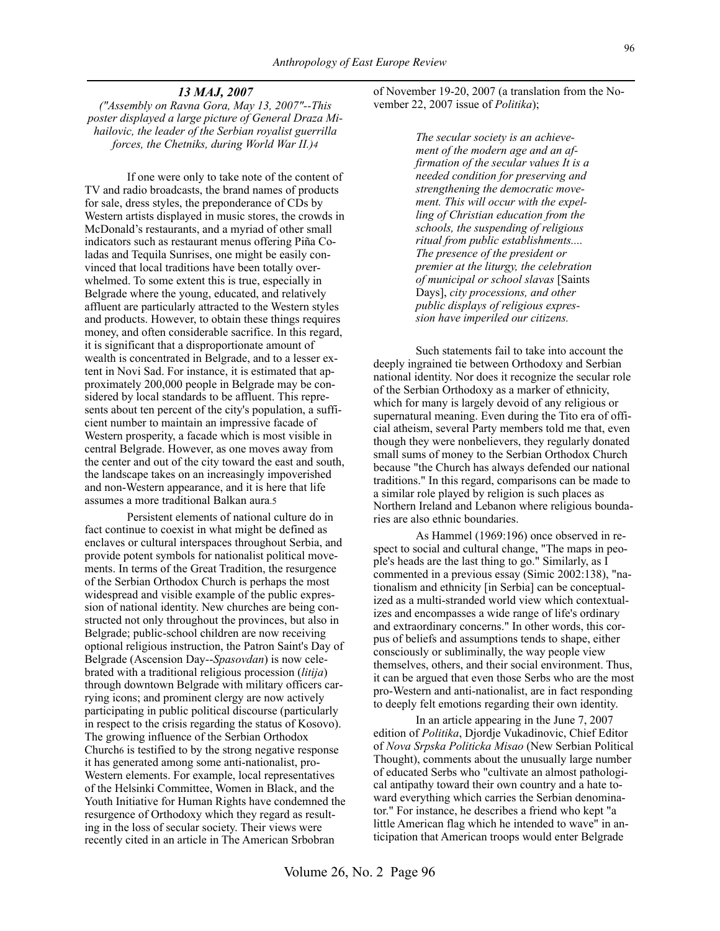#### *13 MAJ, 2007*

*("Assembly on Ravna Gora, May 13, 2007"--This poster displayed a large picture of General Draza Mihailovic, the leader of the Serbian royalist guerrilla forces, the Chetniks, during World War II.)4*

If one were only to take note of the content of TV and radio broadcasts, the brand names of products for sale, dress styles, the preponderance of CDs by Western artists displayed in music stores, the crowds in McDonald's restaurants, and a myriad of other small indicators such as restaurant menus offering Piña Coladas and Tequila Sunrises, one might be easily convinced that local traditions have been totally overwhelmed. To some extent this is true, especially in Belgrade where the young, educated, and relatively affluent are particularly attracted to the Western styles and products. However, to obtain these things requires money, and often considerable sacrifice. In this regard, it is significant that a disproportionate amount of wealth is concentrated in Belgrade, and to a lesser extent in Novi Sad. For instance, it is estimated that approximately 200,000 people in Belgrade may be considered by local standards to be affluent. This represents about ten percent of the city's population, a sufficient number to maintain an impressive facade of Western prosperity, a facade which is most visible in central Belgrade. However, as one moves away from the center and out of the city toward the east and south, the landscape takes on an increasingly impoverished and non-Western appearance, and it is here that life assumes a more traditional Balkan aura.5

Persistent elements of national culture do in fact continue to coexist in what might be defined as enclaves or cultural interspaces throughout Serbia, and provide potent symbols for nationalist political movements. In terms of the Great Tradition, the resurgence of the Serbian Orthodox Church is perhaps the most widespread and visible example of the public expression of national identity. New churches are being constructed not only throughout the provinces, but also in Belgrade; public-school children are now receiving optional religious instruction, the Patron Saint's Day of Belgrade (Ascension Day--*Spasovdan*) is now celebrated with a traditional religious procession (*litija*) through downtown Belgrade with military officers carrying icons; and prominent clergy are now actively participating in public political discourse (particularly in respect to the crisis regarding the status of Kosovo). The growing influence of the Serbian Orthodox Church6 is testified to by the strong negative response it has generated among some anti-nationalist, pro-Western elements. For example, local representatives of the Helsinki Committee, Women in Black, and the Youth Initiative for Human Rights have condemned the resurgence of Orthodoxy which they regard as resulting in the loss of secular society. Their views were recently cited in an article in The American Srbobran

of November 19-20, 2007 (a translation from the November 22, 2007 issue of *Politika*);

> *The secular society is an achievement of the modern age and an affirmation of the secular values It is a needed condition for preserving and strengthening the democratic movement. This will occur with the expelling of Christian education from the schools, the suspending of religious ritual from public establishments.... The presence of the president or premier at the liturgy, the celebration of municipal or school slavas* [Saints Days], *city processions, and other public displays of religious expression have imperiled our citizens.*

Such statements fail to take into account the deeply ingrained tie between Orthodoxy and Serbian national identity. Nor does it recognize the secular role of the Serbian Orthodoxy as a marker of ethnicity, which for many is largely devoid of any religious or supernatural meaning. Even during the Tito era of official atheism, several Party members told me that, even though they were nonbelievers, they regularly donated small sums of money to the Serbian Orthodox Church because "the Church has always defended our national traditions." In this regard, comparisons can be made to a similar role played by religion is such places as Northern Ireland and Lebanon where religious boundaries are also ethnic boundaries.

As Hammel (1969:196) once observed in respect to social and cultural change, "The maps in people's heads are the last thing to go." Similarly, as I commented in a previous essay (Simic 2002:138), "nationalism and ethnicity [in Serbia] can be conceptualized as a multi-stranded world view which contextualizes and encompasses a wide range of life's ordinary and extraordinary concerns." In other words, this corpus of beliefs and assumptions tends to shape, either consciously or subliminally, the way people view themselves, others, and their social environment. Thus, it can be argued that even those Serbs who are the most pro-Western and anti-nationalist, are in fact responding to deeply felt emotions regarding their own identity.

In an article appearing in the June 7, 2007 edition of *Politika*, Djordje Vukadinovic, Chief Editor of *Nova Srpska Politicka Misao* (New Serbian Political Thought), comments about the unusually large number of educated Serbs who "cultivate an almost pathological antipathy toward their own country and a hate toward everything which carries the Serbian denominator." For instance, he describes a friend who kept "a little American flag which he intended to wave" in anticipation that American troops would enter Belgrade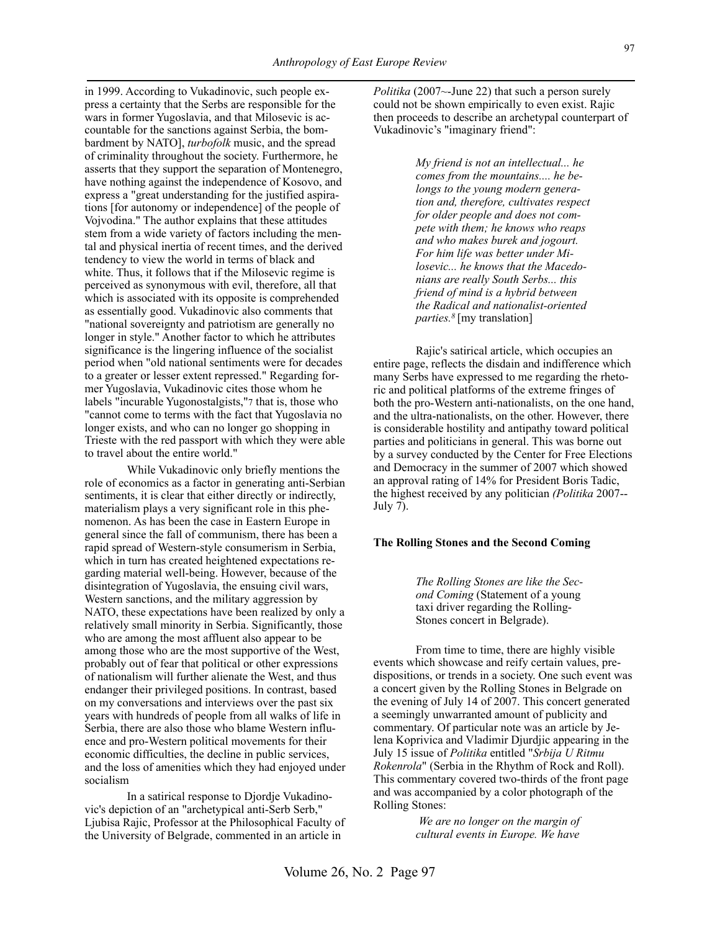*Anthropology of East Europe Review*

countable for the sanctions against Serbia, the bombardment by NATO], *turbofolk* music, and the spread of criminality throughout the society. Furthermore, he asserts that they support the separation of Montenegro, have nothing against the independence of Kosovo, and express a "great understanding for the justified aspirations [for autonomy or independence] of the people of Vojvodina." The author explains that these attitudes stem from a wide variety of factors including the mental and physical inertia of recent times, and the derived tendency to view the world in terms of black and white. Thus, it follows that if the Milosevic regime is perceived as synonymous with evil, therefore, all that which is associated with its opposite is comprehended as essentially good. Vukadinovic also comments that "national sovereignty and patriotism are generally no longer in style." Another factor to which he attributes significance is the lingering influence of the socialist period when "old national sentiments were for decades to a greater or lesser extent repressed." Regarding former Yugoslavia, Vukadinovic cites those whom he labels "incurable Yugonostalgists,"7 that is, those who "cannot come to terms with the fact that Yugoslavia no longer exists, and who can no longer go shopping in Trieste with the red passport with which they were able to travel about the entire world."

in 1999. According to Vukadinovic, such people express a certainty that the Serbs are responsible for the wars in former Yugoslavia, and that Milosevic is ac-

While Vukadinovic only briefly mentions the role of economics as a factor in generating anti-Serbian sentiments, it is clear that either directly or indirectly, materialism plays a very significant role in this phenomenon. As has been the case in Eastern Europe in general since the fall of communism, there has been a rapid spread of Western-style consumerism in Serbia, which in turn has created heightened expectations regarding material well-being. However, because of the disintegration of Yugoslavia, the ensuing civil wars, Western sanctions, and the military aggression by NATO, these expectations have been realized by only a relatively small minority in Serbia. Significantly, those who are among the most affluent also appear to be among those who are the most supportive of the West, probably out of fear that political or other expressions of nationalism will further alienate the West, and thus endanger their privileged positions. In contrast, based on my conversations and interviews over the past six years with hundreds of people from all walks of life in Serbia, there are also those who blame Western influence and pro-Western political movements for their economic difficulties, the decline in public services, and the loss of amenities which they had enjoyed under socialism

In a satirical response to Djordje Vukadinovic's depiction of an "archetypical anti-Serb Serb," Ljubisa Rajic, Professor at the Philosophical Faculty of the University of Belgrade, commented in an article in

*Politika* (2007~-June 22) that such a person surely could not be shown empirically to even exist. Rajic then proceeds to describe an archetypal counterpart of Vukadinovic's "imaginary friend":

> *My friend is not an intellectual... he comes from the mountains.... he belongs to the young modern generation and, therefore, cultivates respect for older people and does not compete with them; he knows who reaps and who makes burek and jogourt. For him life was better under Milosevic... he knows that the Macedonians are really South Serbs... this friend of mind is a hybrid between the Radical and nationalist-oriented parties.8* [my translation]

Rajic's satirical article, which occupies an entire page, reflects the disdain and indifference which many Serbs have expressed to me regarding the rhetoric and political platforms of the extreme fringes of both the pro-Western anti-nationalists, on the one hand, and the ultra-nationalists, on the other. However, there is considerable hostility and antipathy toward political parties and politicians in general. This was borne out by a survey conducted by the Center for Free Elections and Democracy in the summer of 2007 which showed an approval rating of 14% for President Boris Tadic, the highest received by any politician *(Politika* 2007-- July 7).

#### **The Rolling Stones and the Second Coming**

*The Rolling Stones are like the Second Coming* (Statement of a young taxi driver regarding the Rolling-Stones concert in Belgrade).

From time to time, there are highly visible events which showcase and reify certain values, predispositions, or trends in a society. One such event was a concert given by the Rolling Stones in Belgrade on the evening of July 14 of 2007. This concert generated a seemingly unwarranted amount of publicity and commentary. Of particular note was an article by Jelena Koprivica and Vladimir Djurdjic appearing in the July 15 issue of *Politika* entitled "*Srbija U Ritmu Rokenrola*" (Serbia in the Rhythm of Rock and Roll). This commentary covered two-thirds of the front page and was accompanied by a color photograph of the Rolling Stones:

> *We are no longer on the margin of cultural events in Europe. We have*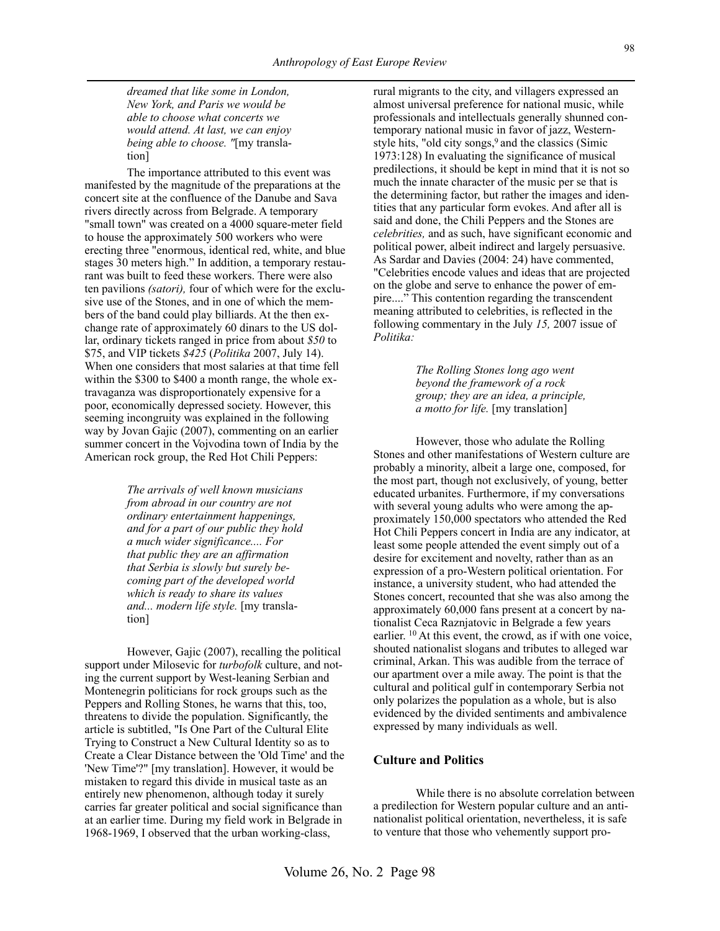*dreamed that like some in London, New York, and Paris we would be able to choose what concerts we would attend. At last, we can enjoy being able to choose. "*[my translation]

The importance attributed to this event was manifested by the magnitude of the preparations at the concert site at the confluence of the Danube and Sava rivers directly across from Belgrade. A temporary "small town" was created on a 4000 square-meter field to house the approximately 500 workers who were erecting three "enormous, identical red, white, and blue stages 30 meters high." In addition, a temporary restaurant was built to feed these workers. There were also ten pavilions *(satori),* four of which were for the exclusive use of the Stones, and in one of which the members of the band could play billiards. At the then exchange rate of approximately 60 dinars to the US dollar, ordinary tickets ranged in price from about *\$50* to \$75, and VIP tickets *\$425* (*Politika* 2007, July 14). When one considers that most salaries at that time fell within the \$300 to \$400 a month range, the whole extravaganza was disproportionately expensive for a poor, economically depressed society. However, this seeming incongruity was explained in the following way by Jovan Gajic (2007), commenting on an earlier summer concert in the Vojvodina town of India by the American rock group, the Red Hot Chili Peppers:

> *The arrivals of well known musicians from abroad in our country are not ordinary entertainment happenings, and for a part of our public they hold a much wider significance.... For that public they are an affirmation that Serbia is slowly but surely becoming part of the developed world which is ready to share its values and... modern life style.* [my translation]

However, Gajic (2007), recalling the political support under Milosevic for *turbofolk* culture, and noting the current support by West-leaning Serbian and Montenegrin politicians for rock groups such as the Peppers and Rolling Stones, he warns that this, too, threatens to divide the population. Significantly, the article is subtitled, "Is One Part of the Cultural Elite Trying to Construct a New Cultural Identity so as to Create a Clear Distance between the 'Old Time' and the 'New Time'?" [my translation]. However, it would be mistaken to regard this divide in musical taste as an entirely new phenomenon, although today it surely carries far greater political and social significance than at an earlier time. During my field work in Belgrade in 1968-1969, I observed that the urban working-class,

rural migrants to the city, and villagers expressed an almost universal preference for national music, while professionals and intellectuals generally shunned contemporary national music in favor of jazz, Westernstyle hits, "old city songs,<sup>9</sup> and the classics (Simic 1973:128) In evaluating the significance of musical predilections, it should be kept in mind that it is not so much the innate character of the music per se that is the determining factor, but rather the images and identities that any particular form evokes. And after all is said and done, the Chili Peppers and the Stones are *celebrities,* and as such, have significant economic and political power, albeit indirect and largely persuasive. As Sardar and Davies (2004: 24) have commented, "Celebrities encode values and ideas that are projected on the globe and serve to enhance the power of empire...." This contention regarding the transcendent meaning attributed to celebrities, is reflected in the following commentary in the July *15,* 2007 issue of *Politika:*

> *The Rolling Stones long ago went beyond the framework of a rock group; they are an idea, a principle, a motto for life.* [my translation]

However, those who adulate the Rolling Stones and other manifestations of Western culture are probably a minority, albeit a large one, composed, for the most part, though not exclusively, of young, better educated urbanites. Furthermore, if my conversations with several young adults who were among the approximately 150,000 spectators who attended the Red Hot Chili Peppers concert in India are any indicator, at least some people attended the event simply out of a desire for excitement and novelty, rather than as an expression of a pro-Western political orientation. For instance, a university student, who had attended the Stones concert, recounted that she was also among the approximately 60,000 fans present at a concert by nationalist Ceca Raznjatovic in Belgrade a few years earlier. 10 At this event, the crowd, as if with one voice, shouted nationalist slogans and tributes to alleged war criminal, Arkan. This was audible from the terrace of our apartment over a mile away. The point is that the cultural and political gulf in contemporary Serbia not only polarizes the population as a whole, but is also evidenced by the divided sentiments and ambivalence expressed by many individuals as well.

#### **Culture and Politics**

While there is no absolute correlation between a predilection for Western popular culture and an antinationalist political orientation, nevertheless, it is safe to venture that those who vehemently support pro-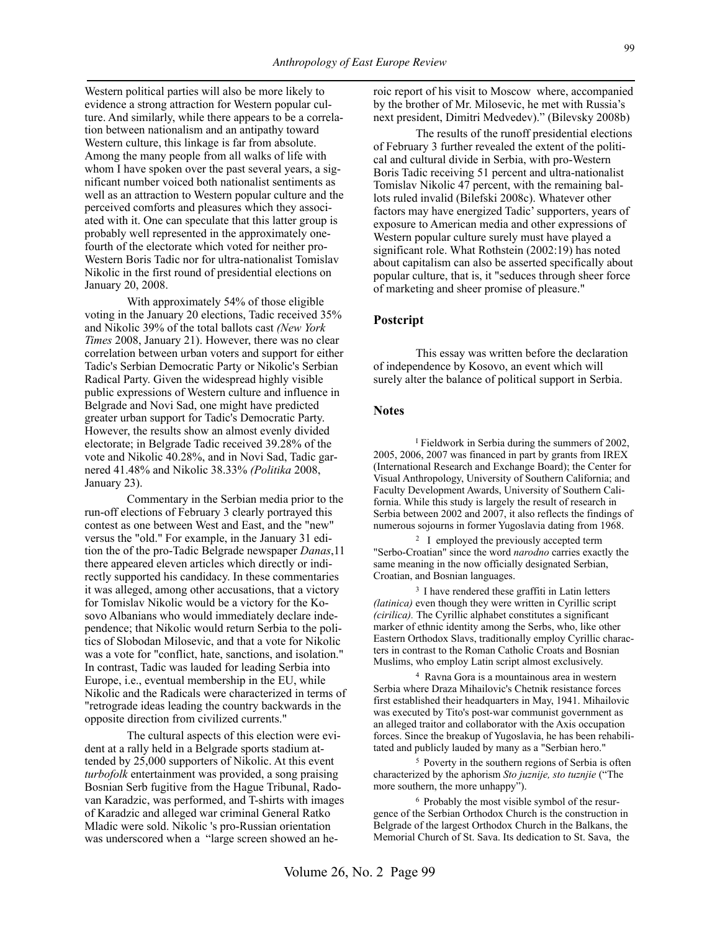Western political parties will also be more likely to evidence a strong attraction for Western popular culture. And similarly, while there appears to be a correlation between nationalism and an antipathy toward Western culture, this linkage is far from absolute. Among the many people from all walks of life with whom I have spoken over the past several years, a significant number voiced both nationalist sentiments as well as an attraction to Western popular culture and the perceived comforts and pleasures which they associated with it. One can speculate that this latter group is probably well represented in the approximately onefourth of the electorate which voted for neither pro-Western Boris Tadic nor for ultra-nationalist Tomislav Nikolic in the first round of presidential elections on January 20, 2008.

With approximately 54% of those eligible voting in the January 20 elections, Tadic received 35% and Nikolic 39% of the total ballots cast *(New York Times* 2008, January 21). However, there was no clear correlation between urban voters and support for either Tadic's Serbian Democratic Party or Nikolic's Serbian Radical Party. Given the widespread highly visible public expressions of Western culture and influence in Belgrade and Novi Sad, one might have predicted greater urban support for Tadic's Democratic Party. However, the results show an almost evenly divided electorate; in Belgrade Tadic received 39.28% of the vote and Nikolic 40.28%, and in Novi Sad, Tadic garnered 41.48% and Nikolic 38.33% *(Politika* 2008, January 23).

Commentary in the Serbian media prior to the run-off elections of February 3 clearly portrayed this contest as one between West and East, and the "new" versus the "old." For example, in the January 31 edition the of the pro-Tadic Belgrade newspaper *Danas*,11 there appeared eleven articles which directly or indirectly supported his candidacy. In these commentaries it was alleged, among other accusations, that a victory for Tomislav Nikolic would be a victory for the Kosovo Albanians who would immediately declare independence; that Nikolic would return Serbia to the politics of Slobodan Milosevic, and that a vote for Nikolic was a vote for "conflict, hate, sanctions, and isolation." In contrast, Tadic was lauded for leading Serbia into Europe, i.e., eventual membership in the EU, while Nikolic and the Radicals were characterized in terms of "retrograde ideas leading the country backwards in the opposite direction from civilized currents."

The cultural aspects of this election were evident at a rally held in a Belgrade sports stadium attended by 25,000 supporters of Nikolic. At this event *turbofolk* entertainment was provided, a song praising Bosnian Serb fugitive from the Hague Tribunal, Radovan Karadzic, was performed, and T-shirts with images of Karadzic and alleged war criminal General Ratko Mladic were sold. Nikolic 's pro-Russian orientation was underscored when a "large screen showed an he-

roic report of his visit to Moscow where, accompanied by the brother of Mr. Milosevic, he met with Russia's next president, Dimitri Medvedev)." (Bilevsky 2008b)

The results of the runoff presidential elections of February 3 further revealed the extent of the political and cultural divide in Serbia, with pro-Western Boris Tadic receiving 51 percent and ultra-nationalist Tomislav Nikolic 47 percent, with the remaining ballots ruled invalid (Bilefski 2008c). Whatever other factors may have energized Tadic' supporters, years of exposure to American media and other expressions of Western popular culture surely must have played a significant role. What Rothstein (2002:19) has noted about capitalism can also be asserted specifically about popular culture, that is, it "seduces through sheer force of marketing and sheer promise of pleasure."

#### **Postcript**

This essay was written before the declaration of independence by Kosovo, an event which will surely alter the balance of political support in Serbia.

#### **Notes**

<sup>I</sup> Fieldwork in Serbia during the summers of 2002, 2005, 2006, 2007 was financed in part by grants from IREX (International Research and Exchange Board); the Center for Visual Anthropology, University of Southern California; and Faculty Development Awards, University of Southern California. While this study is largely the result of research in Serbia between 2002 and 2007, it also reflects the findings of numerous sojourns in former Yugoslavia dating from 1968.

<sup>2</sup>I employed the previously accepted term "Serbo-Croatian" since the word *narodno* carries exactly the same meaning in the now officially designated Serbian, Croatian, and Bosnian languages.

<sup>3</sup> I have rendered these graffiti in Latin letters *(latinica)* even though they were written in Cyrillic script *(cirilica).* The Cyrillic alphabet constitutes a significant marker of ethnic identity among the Serbs, who, like other Eastern Orthodox Slavs, traditionally employ Cyrillic characters in contrast to the Roman Catholic Croats and Bosnian Muslims, who employ Latin script almost exclusively.

4 Ravna Gora is a mountainous area in western Serbia where Draza Mihailovic's Chetnik resistance forces first established their headquarters in May, 1941. Mihailovic was executed by Tito's post-war communist government as an alleged traitor and collaborator with the Axis occupation forces. Since the breakup of Yugoslavia, he has been rehabilitated and publicly lauded by many as a "Serbian hero."

5 Poverty in the southern regions of Serbia is often characterized by the aphorism *Sto juznije, sto tuznjie* ("The more southern, the more unhappy").

6 Probably the most visible symbol of the resurgence of the Serbian Orthodox Church is the construction in Belgrade of the largest Orthodox Church in the Balkans, the Memorial Church of St. Sava. Its dedication to St. Sava, the